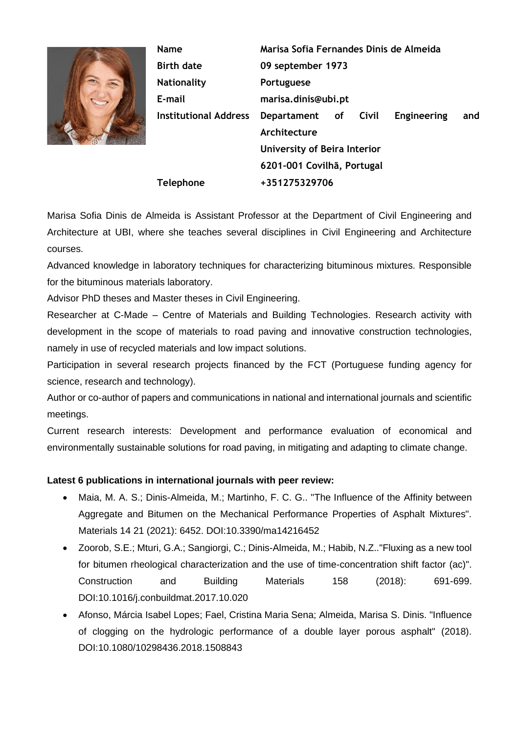

**Name Birth date Nationality E-mail Institutional Address Telephone Marisa Sofia Fernandes Dinis de Almeida 09 september 1973 Portuguese marisa.dinis@ubi.pt Departament of Civil Engineering and Architecture University of Beira Interior 6201-001 Covilhã, Portugal +351275329706**

Marisa Sofia Dinis de Almeida is Assistant Professor at the Department of Civil Engineering and Architecture at UBI, where she teaches several disciplines in Civil Engineering and Architecture courses.

Advanced knowledge in laboratory techniques for characterizing bituminous mixtures. Responsible for the bituminous materials laboratory.

Advisor PhD theses and Master theses in Civil Engineering.

Researcher at C-Made – Centre of Materials and Building Technologies. Research activity with development in the scope of materials to road paving and innovative construction technologies, namely in use of recycled materials and low impact solutions.

Participation in several research projects financed by the FCT (Portuguese funding agency for science, research and technology).

Author or co-author of papers and communications in national and international journals and scientific meetings.

Current research interests: Development and performance evaluation of economical and environmentally sustainable solutions for road paving, in mitigating and adapting to climate change.

## **Latest 6 publications in international journals with peer review:**

- Maia, M. A. S.; Dinis-Almeida, M.; Martinho, F. C. G.. "The Influence of the Affinity between Aggregate and Bitumen on the Mechanical Performance Properties of Asphalt Mixtures". Materials 14 21 (2021): 6452. DOI:10.3390/ma14216452
- Zoorob, S.E.; Mturi, G.A.; Sangiorgi, C.; Dinis-Almeida, M.; Habib, N.Z.."Fluxing as a new tool for bitumen rheological characterization and the use of time-concentration shift factor (ac)". Construction and Building Materials 158 (2018): 691-699. DOI:10.1016/j.conbuildmat.2017.10.020
- Afonso, Márcia Isabel Lopes; Fael, Cristina Maria Sena; Almeida, Marisa S. Dinis. "Influence of clogging on the hydrologic performance of a double layer porous asphalt" (2018). DOI:10.1080/10298436.2018.1508843